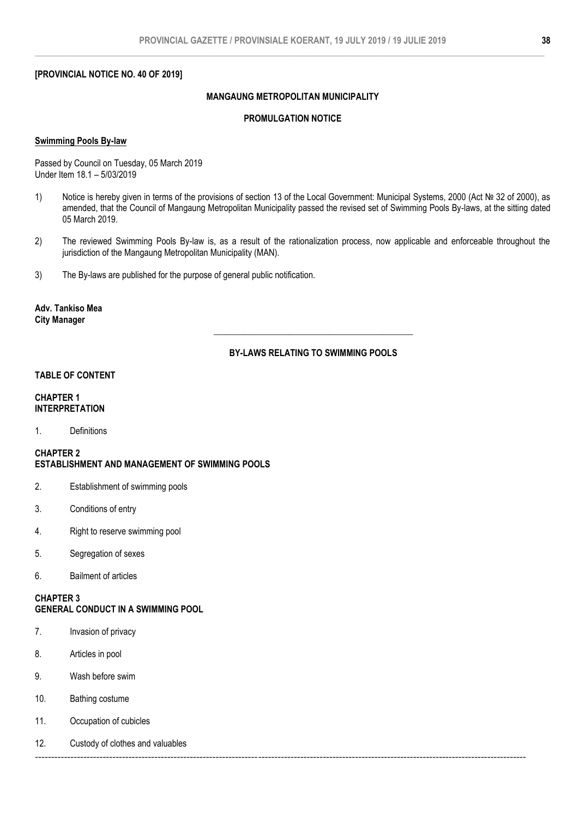# **[PROVINCIAL NOTICE NO. 40 OF 2019]**

# **MANGAUNG METROPOLITAN MUNICIPALITY**

## **PROMULGATION NOTICE**

## **Swimming Pools By-law**

Passed by Council on Tuesday, 05 March 2019 Under Item 18.1 – 5/03/2019

- 1) Notice is hereby given in terms of the provisions of section 13 of the Local Government: Municipal Systems, 2000 (Act № 32 of 2000), as amended, that the Council of Mangaung Metropolitan Municipality passed the revised set of Swimming Pools By-laws, at the sitting dated 05 March 2019.
- 2) The reviewed Swimming Pools By-law is, as a result of the rationalization process, now applicable and enforceable throughout the jurisdiction of the Mangaung Metropolitan Municipality (MAN).
- 3) The By-laws are published for the purpose of general public notification.

**Adv. Tankiso Mea City Manager**

# **BY-LAWS RELATING TO SWIMMING POOLS**

**\_\_\_\_\_\_\_\_\_\_\_\_\_\_\_\_\_\_\_\_\_\_\_\_\_\_\_\_\_\_\_\_\_\_\_\_\_\_\_\_\_\_\_\_\_**

### **TABLE OF CONTENT**

### **CHAPTER 1 INTERPRETATION**

1. Definitions

**CHAPTER 2 ESTABLISHMENT AND MANAGEMENT OF SWIMMING POOLS**

- 2. Establishment of swimming pools
- 3. Conditions of entry
- 4. Right to reserve swimming pool
- 5. Segregation of sexes
- 6. Bailment of articles

**CHAPTER 3 GENERAL CONDUCT IN A SWIMMING POOL**

- 7. Invasion of privacy
- 8. Articles in pool
- 9. Wash before swim
- 10. Bathing costume
- 11. Occupation of cubicles
- 12. Custody of clothes and valuables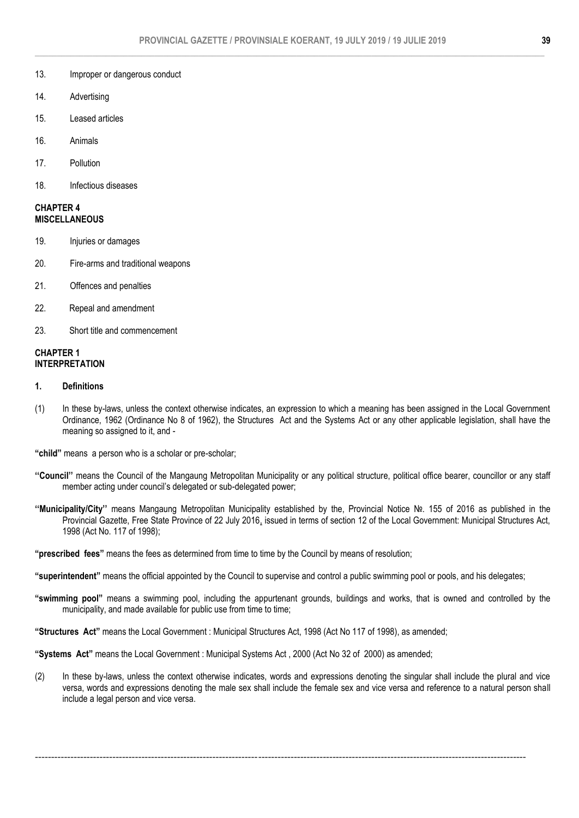### 13. Improper or dangerous conduct

- 14. Advertising
- 15. Leased articles
- 16. Animals
- 17. Pollution
- 18. Infectious diseases

### **CHAPTER 4 MISCELLANEOUS**

- 19. Injuries or damages
- 20. Fire-arms and traditional weapons
- 21. Offences and penalties
- 22. Repeal and amendment
- 23. Short title and commencement

## **CHAPTER 1 INTERPRETATION**

#### **1. Definitions**

(1) In these by-laws, unless the context otherwise indicates, an expression to which a meaning has been assigned in the Local Government Ordinance, 1962 (Ordinance No 8 of 1962), the Structures Act and the Systems Act or any other applicable legislation, shall have the meaning so assigned to it, and -

"child" means a person who is a scholar or pre-scholar;

- **''Council''** means the Council of the Mangaung Metropolitan Municipality or any political structure, political office bearer, councillor or any staff member acting under council's delegated or sub-delegated power;
- **''Municipality/City''** means Mangaung Metropolitan Municipality established by the, Provincial Notice №. 155 of 2016 as published in the Provincial Gazette, Free State Province of 22 July 2016, issued in terms of section 12 of the Local Government: Municipal Structures Act, 1998 (Act No. 117 of 1998);

**"prescribed fees"** means the fees as determined from time to time by the Council by means of resolution;

**"superintendent"** means the official appointed by the Council to supervise and control a public swimming pool or pools, and his delegates;

**"swimming pool"** means a swimming pool, including the appurtenant grounds, buildings and works, that is owned and controlled by the municipality, and made available for public use from time to time;

**"Structures Act"** means the Local Government : Municipal Structures Act, 1998 (Act No 117 of 1998), as amended;

**"Systems Act"** means the Local Government : Municipal Systems Act , 2000 (Act No 32 of 2000) as amended;

(2) In these by-laws, unless the context otherwise indicates, words and expressions denoting the singular shall include the plural and vice versa, words and expressions denoting the male sex shall include the female sex and vice versa and reference to a natural person shall include a legal person and vice versa.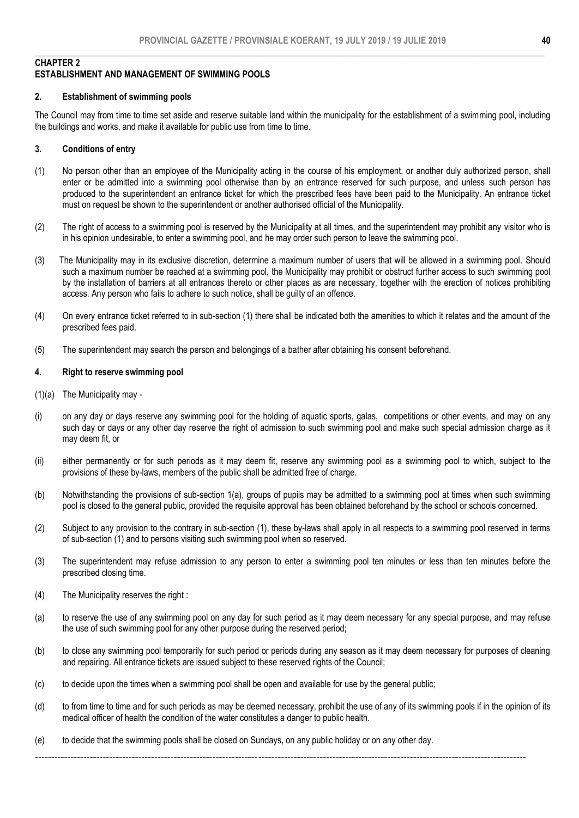### **CHAPTER 2 ESTABLISHMENT AND MANAGEMENT OF SWIMMING POOLS**

# **2. Establishment of swimming pools**

The Council may from time to time set aside and reserve suitable land within the municipality for the establishment of a swimming pool, including the buildings and works, and make it available for public use from time to time.

## **3. Conditions of entry**

- (1) No person other than an employee of the Municipality acting in the course of his employment, or another duly authorized person, shall enter or be admitted into a swimming pool otherwise than by an entrance reserved for such purpose, and unless such person has produced to the superintendent an entrance ticket for which the prescribed fees have been paid to the Municipality. An entrance ticket must on request be shown to the superintendent or another authorised official of the Municipality.
- (2) The right of access to a swimming pool is reserved by the Municipality at all times, and the superintendent may prohibit any visitor who is in his opinion undesirable, to enter a swimming pool, and he may order such person to leave the swimming pool.
- (3) The Municipality may in its exclusive discretion, determine a maximum number of users that will be allowed in a swimming pool. Should such a maximum number be reached at a swimming pool, the Municipality may prohibit or obstruct further access to such swimming pool by the installation of barriers at all entrances thereto or other places as are necessary, together with the erection of notices prohibiting access. Any person who fails to adhere to such notice, shall be guilty of an offence.
- (4) On every entrance ticket referred to in sub-section (1) there shall be indicated both the amenities to which it relates and the amount of the prescribed fees paid.
- (5) The superintendent may search the person and belongings of a bather after obtaining his consent beforehand.

### **4. Right to reserve swimming pool**

- (1)(a) The Municipality may -
- (i) on any day or days reserve any swimming pool for the holding of aquatic sports, galas, competitions or other events, and may on any such day or days or any other day reserve the right of admission to such swimming pool and make such special admission charge as it may deem fit, or
- (ii) either permanently or for such periods as it may deem fit, reserve any swimming pool as a swimming pool to which, subject to the provisions of these by-laws, members of the public shall be admitted free of charge.
- (b) Notwithstanding the provisions of sub-section 1(a), groups of pupils may be admitted to a swimming pool at times when such swimming pool is closed to the general public, provided the requisite approval has been obtained beforehand by the school or schools concerned.
- (2) Subject to any provision to the contrary in sub-section (1), these by-laws shall apply in all respects to a swimming pool reserved in terms of sub-section (1) and to persons visiting such swimming pool when so reserved.
- (3) The superintendent may refuse admission to any person to enter a swimming pool ten minutes or less than ten minutes before the prescribed closing time.
- (4) The Municipality reserves the right :
- (a) to reserve the use of any swimming pool on any day for such period as it may deem necessary for any special purpose, and may refuse the use of such swimming pool for any other purpose during the reserved period;
- (b) to close any swimming pool temporarily for such period or periods during any season as it may deem necessary for purposes of cleaning and repairing. All entrance tickets are issued subject to these reserved rights of the Council;
- (c) to decide upon the times when a swimming pool shall be open and available for use by the general public;
- (d) to from time to time and for such periods as may be deemed necessary, prohibit the use of any of its swimming pools if in the opinion of its medical officer of health the condition of the water constitutes a danger to public health.
- (e) to decide that the swimming pools shall be closed on Sundays, on any public holiday or on any other day.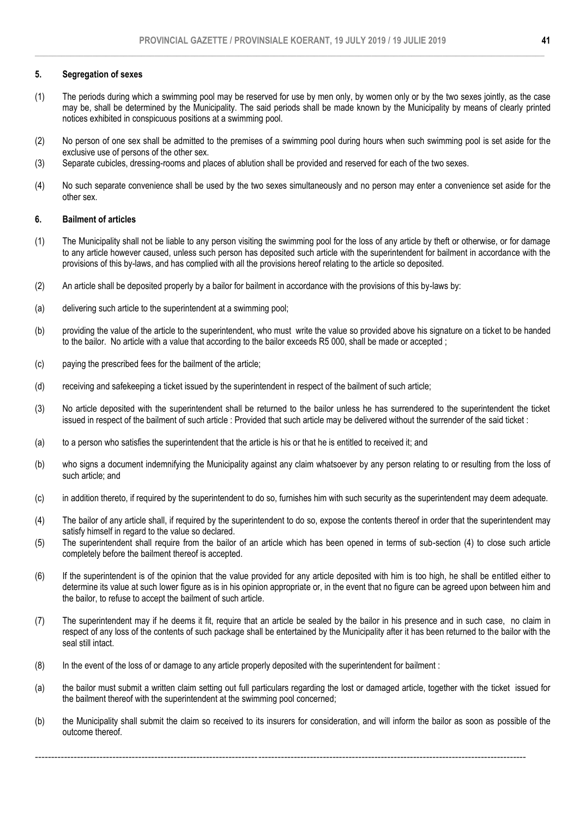## **5. Segregation of sexes**

- (1) The periods during which a swimming pool may be reserved for use by men only, by women only or by the two sexes jointly, as the case may be, shall be determined by the Municipality. The said periods shall be made known by the Municipality by means of clearly printed notices exhibited in conspicuous positions at a swimming pool.
- (2) No person of one sex shall be admitted to the premises of a swimming pool during hours when such swimming pool is set aside for the exclusive use of persons of the other sex.
- (3) Separate cubicles, dressing-rooms and places of ablution shall be provided and reserved for each of the two sexes.
- (4) No such separate convenience shall be used by the two sexes simultaneously and no person may enter a convenience set aside for the other sex.

# **6. Bailment of articles**

- (1) The Municipality shall not be liable to any person visiting the swimming pool for the loss of any article by theft or otherwise, or for damage to any article however caused, unless such person has deposited such article with the superintendent for bailment in accordance with the provisions of this by-laws, and has complied with all the provisions hereof relating to the article so deposited.
- (2) An article shall be deposited properly by a bailor for bailment in accordance with the provisions of this by-laws by:
- (a) delivering such article to the superintendent at a swimming pool;
- (b) providing the value of the article to the superintendent, who must write the value so provided above his signature on a ticket to be handed to the bailor. No article with a value that according to the bailor exceeds R5 000, shall be made or accepted ;
- (c) paying the prescribed fees for the bailment of the article;
- (d) receiving and safekeeping a ticket issued by the superintendent in respect of the bailment of such article;
- (3) No article deposited with the superintendent shall be returned to the bailor unless he has surrendered to the superintendent the ticket issued in respect of the bailment of such article : Provided that such article may be delivered without the surrender of the said ticket :
- (a) to a person who satisfies the superintendent that the article is his or that he is entitled to received it; and
- (b) who signs a document indemnifying the Municipality against any claim whatsoever by any person relating to or resulting from the loss of such article; and
- (c) in addition thereto, if required by the superintendent to do so, furnishes him with such security as the superintendent may deem adequate.
- (4) The bailor of any article shall, if required by the superintendent to do so, expose the contents thereof in order that the superintendent may satisfy himself in regard to the value so declared.
- (5) The superintendent shall require from the bailor of an article which has been opened in terms of sub-section (4) to close such article completely before the bailment thereof is accepted.
- (6) If the superintendent is of the opinion that the value provided for any article deposited with him is too high, he shall be entitled either to determine its value at such lower figure as is in his opinion appropriate or, in the event that no figure can be agreed upon between him and the bailor, to refuse to accept the bailment of such article.
- (7) The superintendent may if he deems it fit, require that an article be sealed by the bailor in his presence and in such case, no claim in respect of any loss of the contents of such package shall be entertained by the Municipality after it has been returned to the bailor with the seal still intact.
- (8) In the event of the loss of or damage to any article properly deposited with the superintendent for bailment :
- (a) the bailor must submit a written claim setting out full particulars regarding the lost or damaged article, together with the ticket issued for the bailment thereof with the superintendent at the swimming pool concerned;
- (b) the Municipality shall submit the claim so received to its insurers for consideration, and will inform the bailor as soon as possible of the outcome thereof.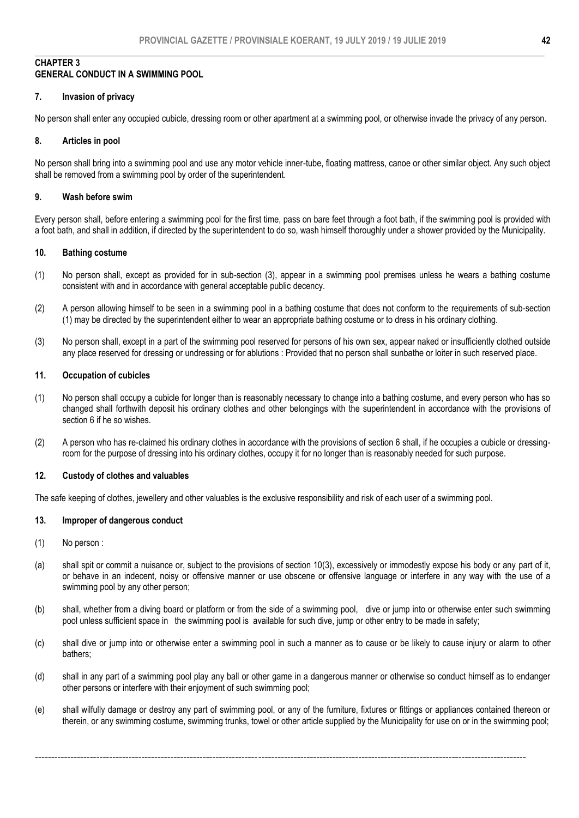# **CHAPTER 3 GENERAL CONDUCT IN A SWIMMING POOL**

## **7. Invasion of privacy**

No person shall enter any occupied cubicle, dressing room or other apartment at a swimming pool, or otherwise invade the privacy of any person.

### **8. Articles in pool**

No person shall bring into a swimming pool and use any motor vehicle inner-tube, floating mattress, canoe or other similar object. Any such object shall be removed from a swimming pool by order of the superintendent.

# **9. Wash before swim**

Every person shall, before entering a swimming pool for the first time, pass on bare feet through a foot bath, if the swimming pool is provided with a foot bath, and shall in addition, if directed by the superintendent to do so, wash himself thoroughly under a shower provided by the Municipality.

# **10. Bathing costume**

- (1) No person shall, except as provided for in sub-section (3), appear in a swimming pool premises unless he wears a bathing costume consistent with and in accordance with general acceptable public decency.
- (2) A person allowing himself to be seen in a swimming pool in a bathing costume that does not conform to the requirements of sub-section (1) may be directed by the superintendent either to wear an appropriate bathing costume or to dress in his ordinary clothing.
- (3) No person shall, except in a part of the swimming pool reserved for persons of his own sex, appear naked or insufficiently clothed outside any place reserved for dressing or undressing or for ablutions : Provided that no person shall sunbathe or loiter in such reserved place.

### **11. Occupation of cubicles**

- (1) No person shall occupy a cubicle for longer than is reasonably necessary to change into a bathing costume, and every person who has so changed shall forthwith deposit his ordinary clothes and other belongings with the superintendent in accordance with the provisions of section 6 if he so wishes.
- (2) A person who has re-claimed his ordinary clothes in accordance with the provisions of section 6 shall, if he occupies a cubicle or dressingroom for the purpose of dressing into his ordinary clothes, occupy it for no longer than is reasonably needed for such purpose.

#### **12. Custody of clothes and valuables**

The safe keeping of clothes, jewellery and other valuables is the exclusive responsibility and risk of each user of a swimming pool.

## **13. Improper of dangerous conduct**

- (1) No person :
- (a) shall spit or commit a nuisance or, subject to the provisions of section 10(3), excessively or immodestly expose his body or any part of it, or behave in an indecent, noisy or offensive manner or use obscene or offensive language or interfere in any way with the use of a swimming pool by any other person;
- (b) shall, whether from a diving board or platform or from the side of a swimming pool, dive or jump into or otherwise enter such swimming pool unless sufficient space in the swimming pool is available for such dive, jump or other entry to be made in safety;
- (c) shall dive or jump into or otherwise enter a swimming pool in such a manner as to cause or be likely to cause injury or alarm to other bathers;
- (d) shall in any part of a swimming pool play any ball or other game in a dangerous manner or otherwise so conduct himself as to endanger other persons or interfere with their enjoyment of such swimming pool;
- (e) shall wilfully damage or destroy any part of swimming pool, or any of the furniture, fixtures or fittings or appliances contained thereon or therein, or any swimming costume, swimming trunks, towel or other article supplied by the Municipality for use on or in the swimming pool;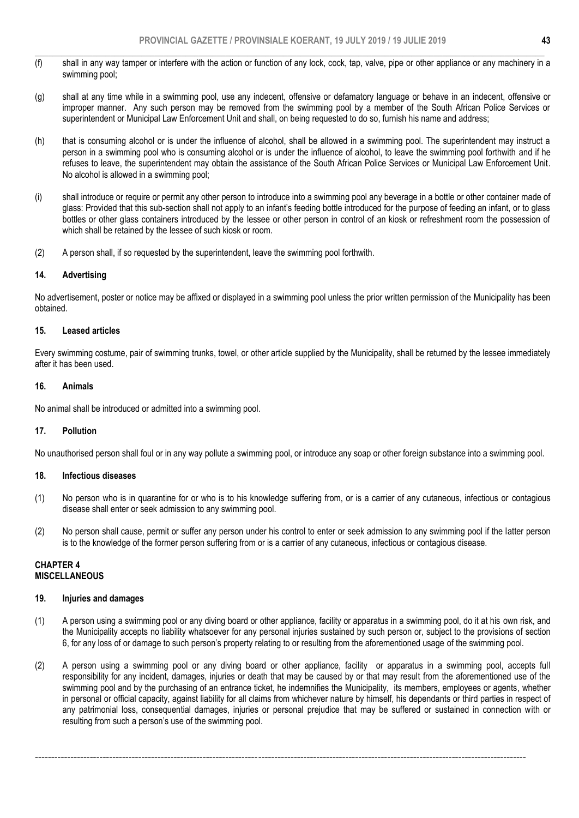- $\_$  , and the set of the set of the set of the set of the set of the set of the set of the set of the set of the set of the set of the set of the set of the set of the set of the set of the set of the set of the set of th (f) shall in any way tamper or interfere with the action or function of any lock, cock, tap, valve, pipe or other appliance or any machinery in a swimming pool;
- (g) shall at any time while in a swimming pool, use any indecent, offensive or defamatory language or behave in an indecent, offensive or improper manner. Any such person may be removed from the swimming pool by a member of the South African Police Services or superintendent or Municipal Law Enforcement Unit and shall, on being requested to do so, furnish his name and address;
- (h) that is consuming alcohol or is under the influence of alcohol, shall be allowed in a swimming pool. The superintendent may instruct a person in a swimming pool who is consuming alcohol or is under the influence of alcohol, to leave the swimming pool forthwith and if he refuses to leave, the superintendent may obtain the assistance of the South African Police Services or Municipal Law Enforcement Unit. No alcohol is allowed in a swimming pool;
- (i) shall introduce or require or permit any other person to introduce into a swimming pool any beverage in a bottle or other container made of glass: Provided that this sub-section shall not apply to an infant's feeding bottle introduced for the purpose of feeding an infant, or to glass bottles or other glass containers introduced by the lessee or other person in control of an kiosk or refreshment room the possession of which shall be retained by the lessee of such kiosk or room.
- (2) A person shall, if so requested by the superintendent, leave the swimming pool forthwith.

# **14. Advertising**

No advertisement, poster or notice may be affixed or displayed in a swimming pool unless the prior written permission of the Municipality has been obtained.

## **15. Leased articles**

Every swimming costume, pair of swimming trunks, towel, or other article supplied by the Municipality, shall be returned by the lessee immediately after it has been used.

## **16. Animals**

No animal shall be introduced or admitted into a swimming pool.

## **17. Pollution**

No unauthorised person shall foul or in any way pollute a swimming pool, or introduce any soap or other foreign substance into a swimming pool.

## **18. Infectious diseases**

- (1) No person who is in quarantine for or who is to his knowledge suffering from, or is a carrier of any cutaneous, infectious or contagious disease shall enter or seek admission to any swimming pool.
- (2) No person shall cause, permit or suffer any person under his control to enter or seek admission to any swimming pool if the latter person is to the knowledge of the former person suffering from or is a carrier of any cutaneous, infectious or contagious disease.

# **CHAPTER 4 MISCELLANEOUS**

## **19. Injuries and damages**

- (1) A person using a swimming pool or any diving board or other appliance, facility or apparatus in a swimming pool, do it at his own risk, and the Municipality accepts no liability whatsoever for any personal injuries sustained by such person or, subject to the provisions of section 6, for any loss of or damage to such person's property relating to or resulting from the aforementioned usage of the swimming pool.
- (2) A person using a swimming pool or any diving board or other appliance, facility or apparatus in a swimming pool, accepts full responsibility for any incident, damages, injuries or death that may be caused by or that may result from the aforementioned use of the swimming pool and by the purchasing of an entrance ticket, he indemnifies the Municipality, its members, employees or agents, whether in personal or official capacity, against liability for all claims from whichever nature by himself, his dependants or third parties in respect of any patrimonial loss, consequential damages, injuries or personal prejudice that may be suffered or sustained in connection with or resulting from such a person's use of the swimming pool.